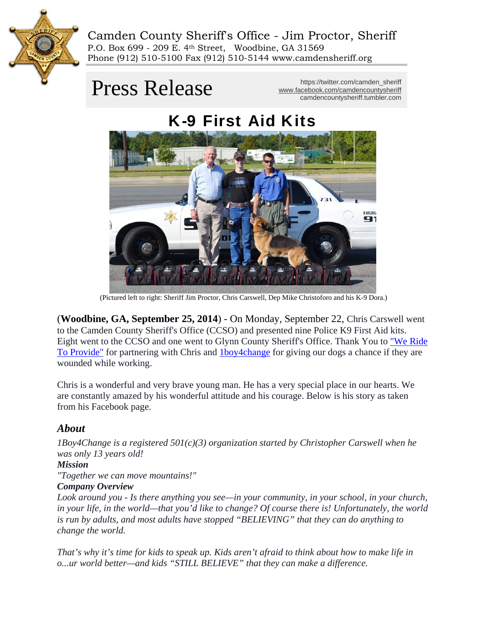

Camden County Sheriff's Office - Jim Proctor, Sheriff P.O. Box 699 - 209 E. 4th Street, Woodbine, GA 31569 Phone (912) 510-5100 Fax (912) 510-5144 www.camdensheriff.org

# **Press Release** Manuscription Camden. Sheriff American Camden. Sheriff American Camdencountysheriff.tumbler.com

https://twitter.com/camden\_sheriff

K-9 First Aid Kits



(Pictured left to right: Sheriff Jim Proctor, Chris Carswell, Dep Mike Christoforo and his K-9 Dora.)

(**Woodbine, GA, September 25, 2014**) - On Monday, September 22, Chris Carswell went to the Camden County Sheriff's Office (CCSO) and presented nine Police K9 First Aid kits. Eight went to the CCSO and one went to Glynn County Sheriff's Office. Thank You to ["We Ride](https://www.facebook.com/WeRideToProvide)  [To Provide"](https://www.facebook.com/WeRideToProvide) for partnering with Chris and [1boy4change](http://www.1boy4change.org/) for giving our dogs a chance if they are wounded while working.

Chris is a wonderful and very brave young man. He has a very special place in our hearts. We are constantly amazed by his wonderful attitude and his courage. Below is his story as taken from his Facebook page.

# *About*

*1Boy4Change is a registered 501(c)(3) organization started by Christopher Carswell when he was only 13 years old!* 

## *Mission*

*"Together we can move mountains!"* 

## *Company Overview*

*Look around you - Is there anything you see—in your community, in your school, in your church, in your life, in the world—that you'd like to change? Of course there is! Unfortunately, the world is run by adults, and most adults have stopped "BELIEVING" that they can do anything to change the world.* 

*That's why it's time for kids to speak up. Kids aren't afraid to think about how to make life in o...ur world better—and kids "STILL BELIEVE" that they can make a difference.*